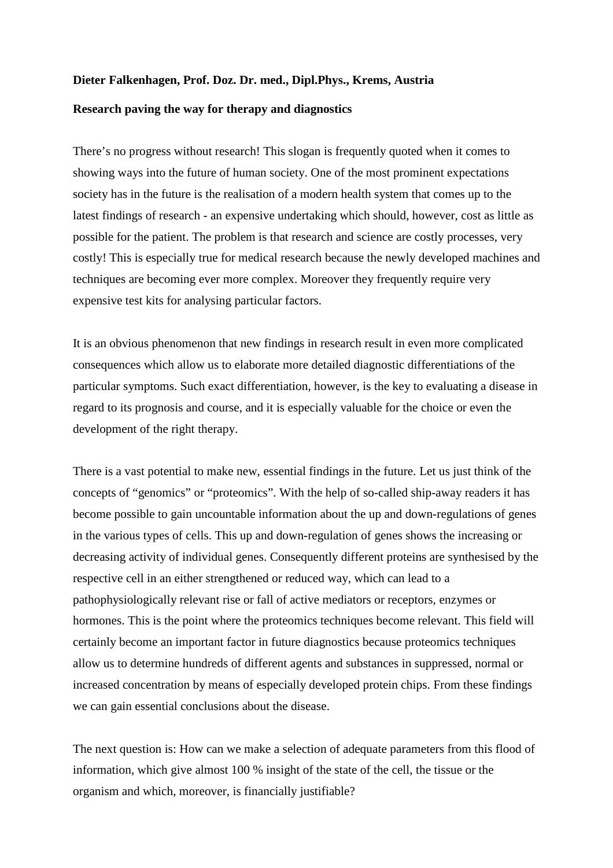## **Dieter Falkenhagen, Prof. Doz. Dr. med., Dipl.Phys., Krems, Austria Research paving the way for therapy and diagnostics**

There's no progress without research! This slogan is frequently quoted when it comes to showing ways into the future of human society. One of the most prominent expectations society has in the future is the realisation of a modern health system that comes up to the latest findings of research - an expensive undertaking which should, however, cost as little as possible for the patient. The problem is that research and science are costly processes, very costly! This is especially true for medical research because the newly developed machines and techniques are becoming ever more complex. Moreover they frequently require very expensive test kits for analysing particular factors.

It is an obvious phenomenon that new findings in research result in even more complicated consequences which allow us to elaborate more detailed diagnostic differentiations of the particular symptoms. Such exact differentiation, however, is the key to evaluating a disease in regard to its prognosis and course, and it is especially valuable for the choice or even the development of the right therapy.

There is a vast potential to make new, essential findings in the future. Let us just think of the concepts of "genomics" or "proteomics". With the help of so-called ship-away readers it has become possible to gain uncountable information about the up and down-regulations of genes in the various types of cells. This up and down-regulation of genes shows the increasing or decreasing activity of individual genes. Consequently different proteins are synthesised by the respective cell in an either strengthened or reduced way, which can lead to a pathophysiologically relevant rise or fall of active mediators or receptors, enzymes or hormones. This is the point where the proteomics techniques become relevant. This field will certainly become an important factor in future diagnostics because proteomics techniques allow us to determine hundreds of different agents and substances in suppressed, normal or increased concentration by means of especially developed protein chips. From these findings we can gain essential conclusions about the disease.

The next question is: How can we make a selection of adequate parameters from this flood of information, which give almost 100 % insight of the state of the cell, the tissue or the organism and which, moreover, is financially justifiable?